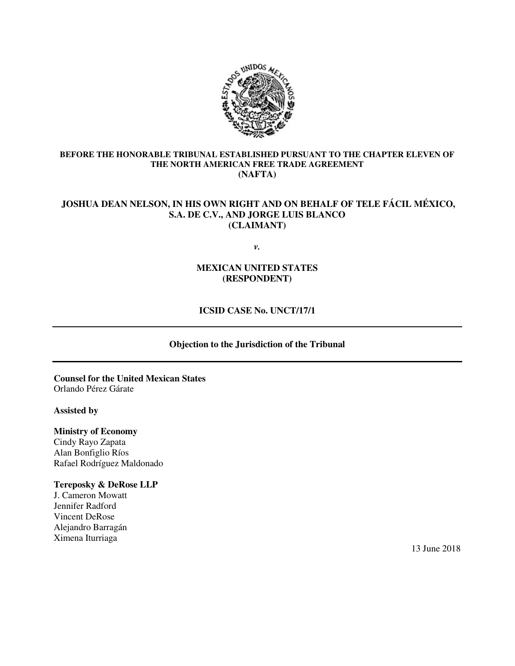

### **BEFORE THE HONORABLE TRIBUNAL ESTABLISHED PURSUANT TO THE CHAPTER ELEVEN OF THE NORTH AMERICAN FREE TRADE AGREEMENT (NAFTA)**

# **JOSHUA DEAN NELSON, IN HIS OWN RIGHT AND ON BEHALF OF TELE FÁCIL MÉXICO, S.A. DE C.V., AND JORGE LUIS BLANCO (CLAIMANT)**

*v.*

## **MEXICAN UNITED STATES (RESPONDENT)**

# **ICSID CASE No. UNCT/17/1**

### **Objection to the Jurisdiction of the Tribunal**

**Counsel for the United Mexican States** Orlando Pérez Gárate

#### **Assisted by**

**Ministry of Economy**  Cindy Rayo Zapata Alan Bonfiglio Ríos Rafael Rodríguez Maldonado

### **Tereposky & DeRose LLP**

J. Cameron Mowatt Jennifer Radford Vincent DeRose Alejandro Barragán Ximena Iturriaga

13 June 2018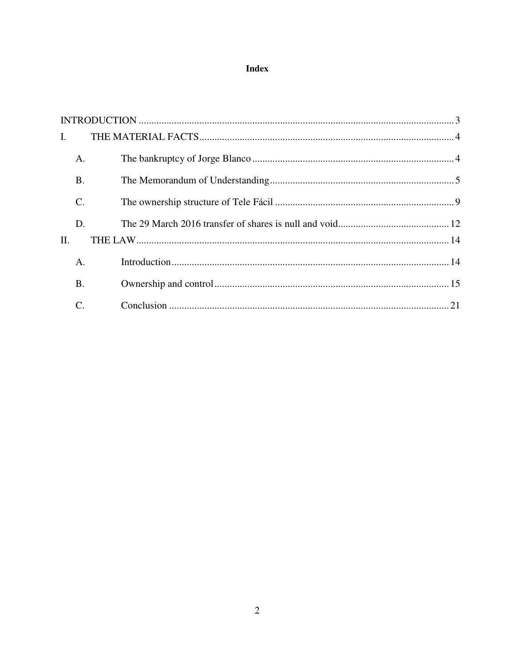# **Index**

| $\mathbf{I}$ . |               |  |
|----------------|---------------|--|
|                | A.            |  |
|                | <b>B.</b>     |  |
|                | $\mathcal{C}$ |  |
|                | D.            |  |
| II.            |               |  |
|                | $A_{\cdot}$   |  |
|                | <b>B.</b>     |  |
|                | C.            |  |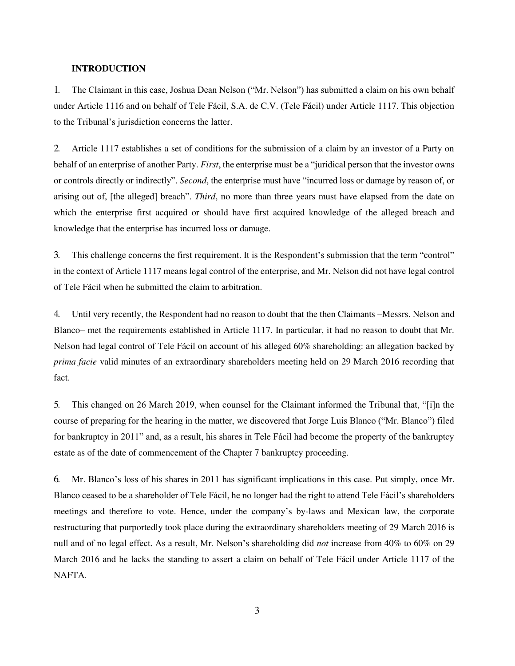#### <span id="page-2-0"></span>**INTRODUCTION**

1. The Claimant in this case, Joshua Dean Nelson ("Mr. Nelson") has submitted a claim on his own behalf under Article 1116 and on behalf of Tele Fácil, S.A. de C.V. (Tele Fácil) under Article 1117. This objection to the Tribunal's jurisdiction concerns the latter.

2. Article 1117 establishes a set of conditions for the submission of a claim by an investor of a Party on behalf of an enterprise of another Party. *First*, the enterprise must be a "juridical person that the investor owns or controls directly or indirectly". *Second*, the enterprise must have "incurred loss or damage by reason of, or arising out of, [the alleged] breach". *Third*, no more than three years must have elapsed from the date on which the enterprise first acquired or should have first acquired knowledge of the alleged breach and knowledge that the enterprise has incurred loss or damage.

3. This challenge concerns the first requirement. It is the Respondent's submission that the term "control" in the context of Article 1117 means legal control of the enterprise, and Mr. Nelson did not have legal control of Tele Fácil when he submitted the claim to arbitration.

4. Until very recently, the Respondent had no reason to doubt that the then Claimants –Messrs. Nelson and Blanco– met the requirements established in Article 1117. In particular, it had no reason to doubt that Mr. Nelson had legal control of Tele Fácil on account of his alleged 60% shareholding: an allegation backed by *prima facie* valid minutes of an extraordinary shareholders meeting held on 29 March 2016 recording that fact.

5. This changed on 26 March 2019, when counsel for the Claimant informed the Tribunal that, "[i]n the course of preparing for the hearing in the matter, we discovered that Jorge Luis Blanco ("Mr. Blanco") filed for bankruptcy in 2011" and, as a result, his shares in Tele Fácil had become the property of the bankruptcy estate as of the date of commencement of the Chapter 7 bankruptcy proceeding.

6. Mr. Blanco's loss of his shares in 2011 has significant implications in this case. Put simply, once Mr. Blanco ceased to be a shareholder of Tele Fácil, he no longer had the right to attend Tele Fácil's shareholders meetings and therefore to vote. Hence, under the company's by-laws and Mexican law, the corporate restructuring that purportedly took place during the extraordinary shareholders meeting of 29 March 2016 is null and of no legal effect. As a result, Mr. Nelson's shareholding did *not* increase from 40% to 60% on 29 March 2016 and he lacks the standing to assert a claim on behalf of Tele Fácil under Article 1117 of the NAFTA.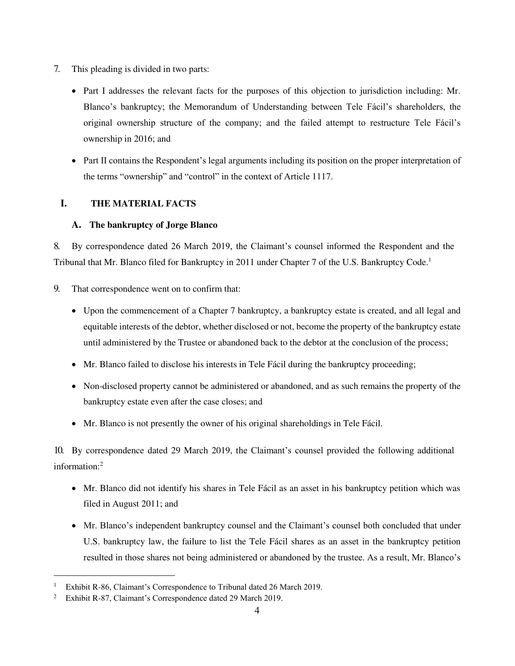- 7. This pleading is divided in two parts:
	- Part I addresses the relevant facts for the purposes of this objection to jurisdiction including: Mr. Blanco's bankruptcy; the Memorandum of Understanding between Tele Fácil's shareholders, the original ownership structure of the company; and the failed attempt to restructure Tele Fácil's ownership in 2016; and
	- Part II contains the Respondent's legal arguments including its position on the proper interpretation of the terms "ownership" and "control" in the context of Article 1117.

# <span id="page-3-0"></span>**I. THE MATERIAL FACTS**

### <span id="page-3-1"></span>**A. The bankruptcy of Jorge Blanco**

8. By correspondence dated 26 March 2019, the Claimant's counsel informed the Respondent and the Tribunal that Mr. Blanco filed for Bankruptcy in 2011 under Chapter 7 of the U.S. Bankruptcy Code.<sup>1</sup>

- 9. That correspondence went on to confirm that:
	- Upon the commencement of a Chapter 7 bankruptcy, a bankruptcy estate is created, and all legal and equitable interests of the debtor, whether disclosed or not, become the property of the bankruptcy estate until administered by the Trustee or abandoned back to the debtor at the conclusion of the process;
	- Mr. Blanco failed to disclose his interests in Tele Fácil during the bankruptcy proceeding;
	- Non-disclosed property cannot be administered or abandoned, and as such remains the property of the bankruptcy estate even after the case closes; and
	- Mr. Blanco is not presently the owner of his original shareholdings in Tele Fácil.

10. By correspondence dated 29 March 2019, the Claimant's counsel provided the following additional information:<sup>2</sup>

- Mr. Blanco did not identify his shares in Tele Fácil as an asset in his bankruptcy petition which was filed in August 2011; and
- Mr. Blanco's independent bankruptcy counsel and the Claimant's counsel both concluded that under U.S. bankruptcy law, the failure to list the Tele Fácil shares as an asset in the bankruptcy petition resulted in those shares not being administered or abandoned by the trustee. As a result, Mr. Blanco's

<sup>1</sup> Exhibit R-86, Claimant's Correspondence to Tribunal dated 26 March 2019.

<sup>2</sup> Exhibit R-87, Claimant's Correspondence dated 29 March 2019.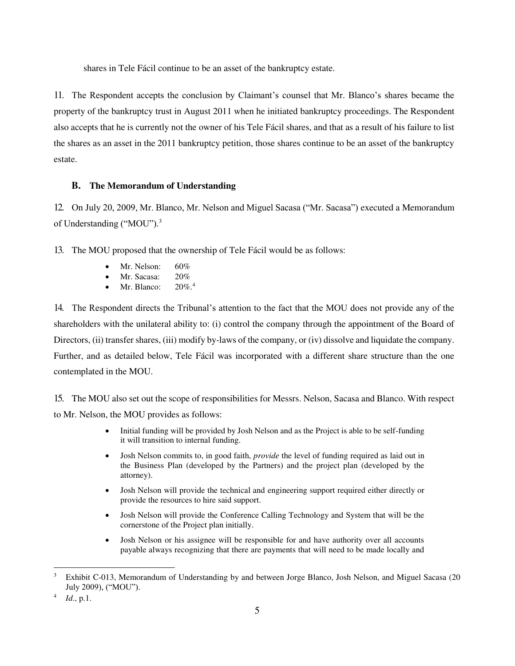shares in Tele Fácil continue to be an asset of the bankruptcy estate.

11. The Respondent accepts the conclusion by Claimant's counsel that Mr. Blanco's shares became the property of the bankruptcy trust in August 2011 when he initiated bankruptcy proceedings. The Respondent also accepts that he is currently not the owner of his Tele Fácil shares, and that as a result of his failure to list the shares as an asset in the 2011 bankruptcy petition, those shares continue to be an asset of the bankruptcy estate.

### <span id="page-4-0"></span>**B. The Memorandum of Understanding**

12. On July 20, 2009, Mr. Blanco, Mr. Nelson and Miguel Sacasa ("Mr. Sacasa") executed a Memorandum of Understanding ("MOU").<sup>3</sup>

13. The MOU proposed that the ownership of Tele Fácil would be as follows:

- Mr. Nelson: 60%
- Mr. Sacasa:  $20\%$ <br>• Mr. Blanco:  $20\%$ <sup>4</sup>
- $\bullet$  Mr. Blanco:

14. The Respondent directs the Tribunal's attention to the fact that the MOU does not provide any of the shareholders with the unilateral ability to: (i) control the company through the appointment of the Board of Directors, (ii) transfer shares, (iii) modify by-laws of the company, or (iv) dissolve and liquidate the company. Further, and as detailed below, Tele Fácil was incorporated with a different share structure than the one contemplated in the MOU.

15. The MOU also set out the scope of responsibilities for Messrs. Nelson, Sacasa and Blanco. With respect to Mr. Nelson, the MOU provides as follows:

- Initial funding will be provided by Josh Nelson and as the Project is able to be self-funding it will transition to internal funding.
- Josh Nelson commits to, in good faith, *provide* the level of funding required as laid out in the Business Plan (developed by the Partners) and the project plan (developed by the attorney).
- Josh Nelson will provide the technical and engineering support required either directly or provide the resources to hire said support.
- Josh Nelson will provide the Conference Calling Technology and System that will be the cornerstone of the Project plan initially.
- Josh Nelson or his assignee will be responsible for and have authority over all accounts payable always recognizing that there are payments that will need to be made locally and

<sup>3</sup> Exhibit C-013, Memorandum of Understanding by and between Jorge Blanco, Josh Nelson, and Miguel Sacasa (20 July 2009), ("MOU").

<sup>4</sup> *Id*., p.1.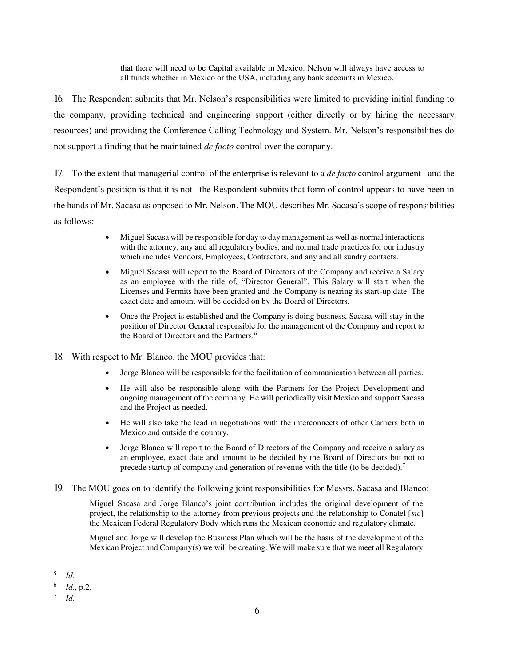that there will need to be Capital available in Mexico. Nelson will always have access to all funds whether in Mexico or the USA, including any bank accounts in Mexico.<sup>5</sup>

16. The Respondent submits that Mr. Nelson's responsibilities were limited to providing initial funding to the company, providing technical and engineering support (either directly or by hiring the necessary resources) and providing the Conference Calling Technology and System. Mr. Nelson's responsibilities do not support a finding that he maintained *de facto* control over the company.

17. To the extent that managerial control of the enterprise is relevant to a *de facto* control argument –and the Respondent's position is that it is not– the Respondent submits that form of control appears to have been in the hands of Mr. Sacasa as opposed to Mr. Nelson. The MOU describes Mr. Sacasa's scope of responsibilities as follows:

- Miguel Sacasa will be responsible for day to day management as well as normal interactions with the attorney, any and all regulatory bodies, and normal trade practices for our industry which includes Vendors, Employees, Contractors, and any and all sundry contacts.
- Miguel Sacasa will report to the Board of Directors of the Company and receive a Salary as an employee with the title of, "Director General". This Salary will start when the Licenses and Permits have been granted and the Company is nearing its start-up date. The exact date and amount will be decided on by the Board of Directors.
- Once the Project is established and the Company is doing business, Sacasa will stay in the position of Director General responsible for the management of the Company and report to the Board of Directors and the Partners.<sup>6</sup>
- 18. With respect to Mr. Blanco, the MOU provides that:
	- Jorge Blanco will be responsible for the facilitation of communication between all parties.
	- He will also be responsible along with the Partners for the Project Development and ongoing management of the company. He will periodically visit Mexico and support Sacasa and the Project as needed.
	- He will also take the lead in negotiations with the interconnects of other Carriers both in Mexico and outside the country.
	- Jorge Blanco will report to the Board of Directors of the Company and receive a salary as an employee, exact date and amount to be decided by the Board of Directors but not to precede startup of company and generation of revenue with the title (to be decided).<sup>7</sup>
- 19. The MOU goes on to identify the following joint responsibilities for Messrs. Sacasa and Blanco:

Miguel Sacasa and Jorge Blanco's joint contribution includes the original development of the project, the relationship to the attorney from previous projects and the relationship to Conatel [*sic*] the Mexican Federal Regulatory Body which runs the Mexican economic and regulatory climate.

Miguel and Jorge will develop the Business Plan which will be the basis of the development of the Mexican Project and Company(s) we will be creating. We will make sure that we meet all Regulatory

 5 *Id*.

<sup>6</sup> *Id*., p.2.

<sup>7</sup> *Id*.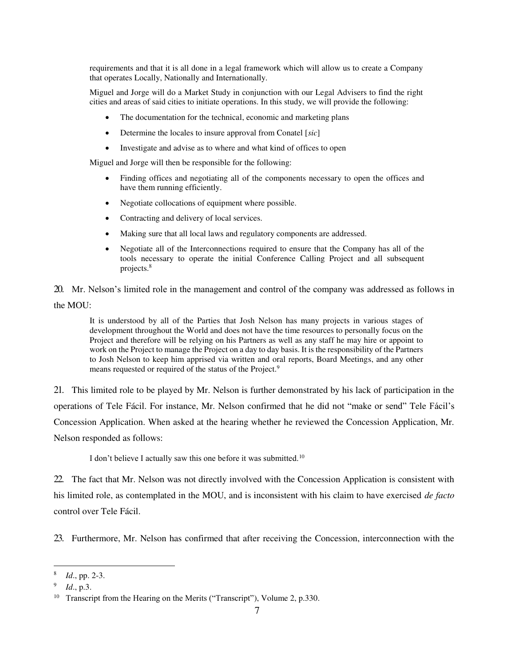requirements and that it is all done in a legal framework which will allow us to create a Company that operates Locally, Nationally and Internationally.

Miguel and Jorge will do a Market Study in conjunction with our Legal Advisers to find the right cities and areas of said cities to initiate operations. In this study, we will provide the following:

- The documentation for the technical, economic and marketing plans
- Determine the locales to insure approval from Conatel [*sic*]
- Investigate and advise as to where and what kind of offices to open

Miguel and Jorge will then be responsible for the following:

- Finding offices and negotiating all of the components necessary to open the offices and have them running efficiently.
- Negotiate collocations of equipment where possible.
- Contracting and delivery of local services.
- Making sure that all local laws and regulatory components are addressed.
- Negotiate all of the Interconnections required to ensure that the Company has all of the tools necessary to operate the initial Conference Calling Project and all subsequent projects.<sup>8</sup>

20. Mr. Nelson's limited role in the management and control of the company was addressed as follows in the MOU:

It is understood by all of the Parties that Josh Nelson has many projects in various stages of development throughout the World and does not have the time resources to personally focus on the Project and therefore will be relying on his Partners as well as any staff he may hire or appoint to work on the Project to manage the Project on a day to day basis. It is the responsibility of the Partners to Josh Nelson to keep him apprised via written and oral reports, Board Meetings, and any other means requested or required of the status of the Project.<sup>9</sup>

21. This limited role to be played by Mr. Nelson is further demonstrated by his lack of participation in the operations of Tele Fácil. For instance, Mr. Nelson confirmed that he did not "make or send" Tele Fácil's Concession Application. When asked at the hearing whether he reviewed the Concession Application, Mr. Nelson responded as follows:

I don't believe I actually saw this one before it was submitted.<sup>10</sup>

22. The fact that Mr. Nelson was not directly involved with the Concession Application is consistent with his limited role, as contemplated in the MOU, and is inconsistent with his claim to have exercised *de facto*  control over Tele Fácil.

23. Furthermore, Mr. Nelson has confirmed that after receiving the Concession, interconnection with the

<sup>8</sup> *Id*., pp. 2-3.

<sup>9</sup> *Id*., p.3.

<sup>&</sup>lt;sup>10</sup> Transcript from the Hearing on the Merits ("Transcript"), Volume 2, p.330.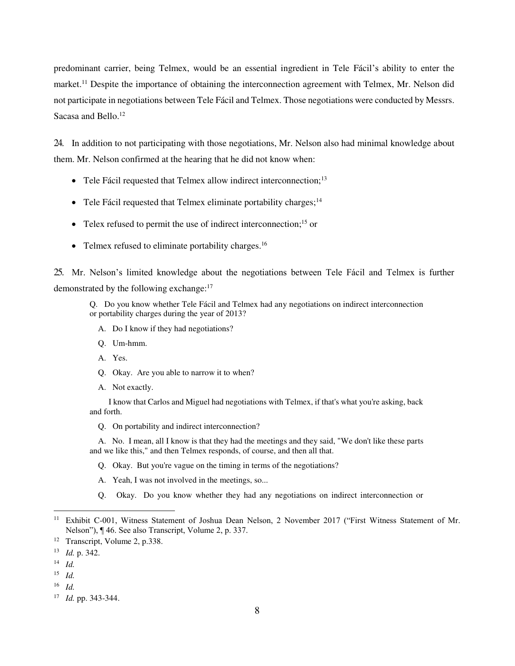predominant carrier, being Telmex, would be an essential ingredient in Tele Fácil's ability to enter the market.<sup>11</sup> Despite the importance of obtaining the interconnection agreement with Telmex, Mr. Nelson did not participate in negotiations between Tele Fácil and Telmex. Those negotiations were conducted by Messrs. Sacasa and Bello.<sup>12</sup>

24. In addition to not participating with those negotiations, Mr. Nelson also had minimal knowledge about them. Mr. Nelson confirmed at the hearing that he did not know when:

- Tele Fácil requested that Telmex allow indirect interconnection;<sup>13</sup>
- Tele Fácil requested that Telmex eliminate portability charges;  $14$
- $\bullet$  Telex refused to permit the use of indirect interconnection;<sup>15</sup> or
- Telmex refused to eliminate portability charges.<sup>16</sup>

25. Mr. Nelson's limited knowledge about the negotiations between Tele Fácil and Telmex is further demonstrated by the following exchange:<sup>17</sup>

Q. Do you know whether Tele Fácil and Telmex had any negotiations on indirect interconnection or portability charges during the year of 2013?

- A. Do I know if they had negotiations?
- Q. Um-hmm.
- A. Yes.
- Q. Okay. Are you able to narrow it to when?
- A. Not exactly.

 I know that Carlos and Miguel had negotiations with Telmex, if that's what you're asking, back and forth.

Q. On portability and indirect interconnection?

 A. No. I mean, all I know is that they had the meetings and they said, "We don't like these parts and we like this," and then Telmex responds, of course, and then all that.

- Q. Okay. But you're vague on the timing in terms of the negotiations?
- A. Yeah, I was not involved in the meetings, so...
- Q. Okay. Do you know whether they had any negotiations on indirect interconnection or

<sup>&</sup>lt;sup>11</sup> Exhibit C-001, Witness Statement of Joshua Dean Nelson, 2 November 2017 ("First Witness Statement of Mr. Nelson"), ¶ 46. See also Transcript, Volume 2, p. 337.

<sup>12</sup> Transcript, Volume 2, p.338.

<sup>13</sup> *Id.* p. 342.

<sup>14</sup> *Id.*

<sup>15</sup> *Id.*

<sup>16</sup> *Id.* 

<sup>17</sup> *Id.* pp. 343-344.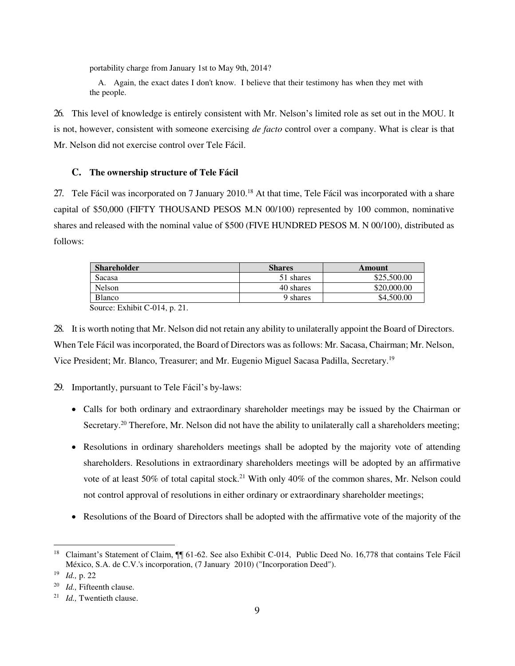portability charge from January 1st to May 9th, 2014?

 A. Again, the exact dates I don't know. I believe that their testimony has when they met with the people.

26. This level of knowledge is entirely consistent with Mr. Nelson's limited role as set out in the MOU. It is not, however, consistent with someone exercising *de facto* control over a company. What is clear is that Mr. Nelson did not exercise control over Tele Fácil.

### <span id="page-8-0"></span>**C. The ownership structure of Tele Fácil**

27. Tele Fácil was incorporated on 7 January 2010.<sup>18</sup> At that time, Tele Fácil was incorporated with a share capital of \$50,000 (FIFTY THOUSAND PESOS M.N 00/100) represented by 100 common, nominative shares and released with the nominal value of \$500 (FIVE HUNDRED PESOS M. N 00/100), distributed as follows:

| <b>Shareholder</b> | <b>Shares</b> | Amount      |
|--------------------|---------------|-------------|
| Sacasa             | 51 shares     | \$25,500.00 |
| Nelson             | 40 shares     | \$20,000.00 |
| <b>Blanco</b>      | 9 shares      | \$4,500.00  |

Source: Exhibit C-014, p. 21.

28. It is worth noting that Mr. Nelson did not retain any ability to unilaterally appoint the Board of Directors. When Tele Fácil was incorporated, the Board of Directors was as follows: Mr. Sacasa, Chairman; Mr. Nelson, Vice President; Mr. Blanco, Treasurer; and Mr. Eugenio Miguel Sacasa Padilla, Secretary.<sup>19</sup>

29. Importantly, pursuant to Tele Fácil's by-laws:

- Calls for both ordinary and extraordinary shareholder meetings may be issued by the Chairman or Secretary.<sup>20</sup> Therefore, Mr. Nelson did not have the ability to unilaterally call a shareholders meeting;
- Resolutions in ordinary shareholders meetings shall be adopted by the majority vote of attending shareholders. Resolutions in extraordinary shareholders meetings will be adopted by an affirmative vote of at least 50% of total capital stock.<sup>21</sup> With only 40% of the common shares, Mr. Nelson could not control approval of resolutions in either ordinary or extraordinary shareholder meetings;
- Resolutions of the Board of Directors shall be adopted with the affirmative vote of the majority of the

<sup>&</sup>lt;sup>18</sup> Claimant's Statement of Claim, ¶ 61-62. See also Exhibit C-014, Public Deed No. 16,778 that contains Tele Fácil México, S.A. de C.V.'s incorporation, (7 January 2010) ("Incorporation Deed").

<sup>19</sup> *Id.,* p. 22

<sup>20</sup> *Id.,* Fifteenth clause.

<sup>21</sup> *Id.,* Twentieth clause.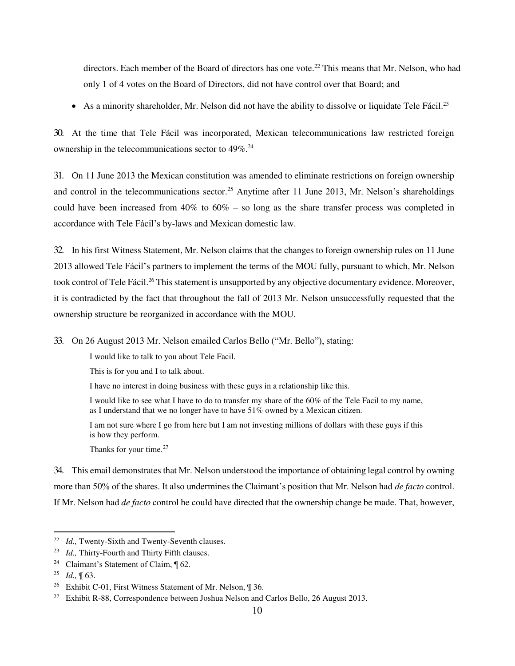directors. Each member of the Board of directors has one vote.<sup>22</sup> This means that Mr. Nelson, who had only 1 of 4 votes on the Board of Directors, did not have control over that Board; and

• As a minority shareholder, Mr. Nelson did not have the ability to dissolve or liquidate Tele Fácil.<sup>23</sup>

30. At the time that Tele Fácil was incorporated, Mexican telecommunications law restricted foreign ownership in the telecommunications sector to 49%.<sup>24</sup>

31. On 11 June 2013 the Mexican constitution was amended to eliminate restrictions on foreign ownership and control in the telecommunications sector.<sup>25</sup> Anytime after 11 June 2013, Mr. Nelson's shareholdings could have been increased from 40% to 60% – so long as the share transfer process was completed in accordance with Tele Fácil's by-laws and Mexican domestic law.

32. In his first Witness Statement, Mr. Nelson claims that the changes to foreign ownership rules on 11 June 2013 allowed Tele Fácil's partners to implement the terms of the MOU fully, pursuant to which, Mr. Nelson took control of Tele Fácil.<sup>26</sup> This statement is unsupported by any objective documentary evidence. Moreover, it is contradicted by the fact that throughout the fall of 2013 Mr. Nelson unsuccessfully requested that the ownership structure be reorganized in accordance with the MOU.

33. On 26 August 2013 Mr. Nelson emailed Carlos Bello ("Mr. Bello"), stating:

I would like to talk to you about Tele Facil.

This is for you and I to talk about.

I have no interest in doing business with these guys in a relationship like this.

I would like to see what I have to do to transfer my share of the 60% of the Tele Facil to my name, as I understand that we no longer have to have 51% owned by a Mexican citizen.

I am not sure where I go from here but I am not investing millions of dollars with these guys if this is how they perform.

Thanks for your time.<sup>27</sup>

34. This email demonstrates that Mr. Nelson understood the importance of obtaining legal control by owning more than 50% of the shares. It also undermines the Claimant's position that Mr. Nelson had *de facto* control. If Mr. Nelson had *de facto* control he could have directed that the ownership change be made. That, however,

<sup>&</sup>lt;sup>22</sup> *Id.*, Twenty-Sixth and Twenty-Seventh clauses.

<sup>23</sup> *Id.,* Thirty-Fourth and Thirty Fifth clauses.

<sup>24</sup> Claimant's Statement of Claim, ¶ 62.

<sup>25</sup> *Id.,* ¶ 63.

<sup>&</sup>lt;sup>26</sup> Exhibit C-01, First Witness Statement of Mr. Nelson, ¶ 36.

<sup>&</sup>lt;sup>27</sup> Exhibit R-88, Correspondence between Joshua Nelson and Carlos Bello, 26 August 2013.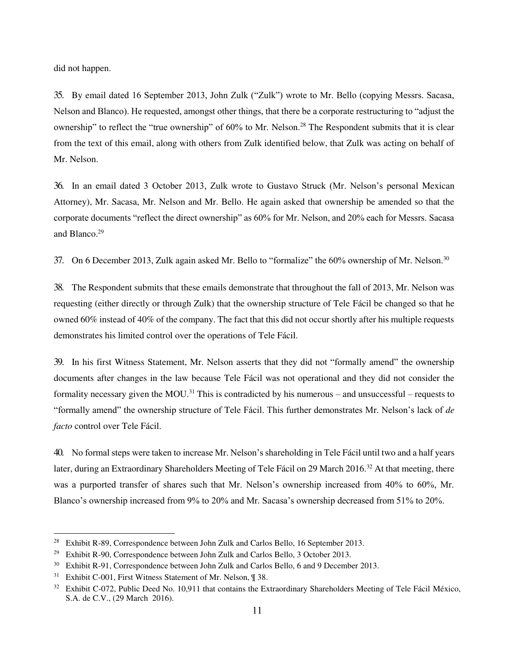did not happen.

35. By email dated 16 September 2013, John Zulk ("Zulk") wrote to Mr. Bello (copying Messrs. Sacasa, Nelson and Blanco). He requested, amongst other things, that there be a corporate restructuring to "adjust the ownership" to reflect the "true ownership" of 60% to Mr. Nelson.<sup>28</sup> The Respondent submits that it is clear from the text of this email, along with others from Zulk identified below, that Zulk was acting on behalf of Mr. Nelson.

36. In an email dated 3 October 2013, Zulk wrote to Gustavo Struck (Mr. Nelson's personal Mexican Attorney), Mr. Sacasa, Mr. Nelson and Mr. Bello. He again asked that ownership be amended so that the corporate documents "reflect the direct ownership" as 60% for Mr. Nelson, and 20% each for Messrs. Sacasa and Blanco.<sup>29</sup>

37. On 6 December 2013, Zulk again asked Mr. Bello to "formalize" the 60% ownership of Mr. Nelson.<sup>30</sup>

38. The Respondent submits that these emails demonstrate that throughout the fall of 2013, Mr. Nelson was requesting (either directly or through Zulk) that the ownership structure of Tele Fácil be changed so that he owned 60% instead of 40% of the company. The fact that this did not occur shortly after his multiple requests demonstrates his limited control over the operations of Tele Fácil.

39. In his first Witness Statement, Mr. Nelson asserts that they did not "formally amend" the ownership documents after changes in the law because Tele Fácil was not operational and they did not consider the formality necessary given the MOU.<sup>31</sup> This is contradicted by his numerous – and unsuccessful – requests to "formally amend" the ownership structure of Tele Fácil. This further demonstrates Mr. Nelson's lack of *de facto* control over Tele Fácil.

40. No formal steps were taken to increase Mr. Nelson's shareholding in Tele Fácil until two and a half years later, during an Extraordinary Shareholders Meeting of Tele Fácil on 29 March 2016.<sup>32</sup> At that meeting, there was a purported transfer of shares such that Mr. Nelson's ownership increased from 40% to 60%, Mr. Blanco's ownership increased from 9% to 20% and Mr. Sacasa's ownership decreased from 51% to 20%.

<sup>&</sup>lt;sup>28</sup> Exhibit R-89, Correspondence between John Zulk and Carlos Bello, 16 September 2013.

<sup>&</sup>lt;sup>29</sup> Exhibit R-90, Correspondence between John Zulk and Carlos Bello, 3 October 2013.

<sup>30</sup> Exhibit R-91, Correspondence between John Zulk and Carlos Bello, 6 and 9 December 2013.

<sup>&</sup>lt;sup>31</sup> Exhibit C-001, First Witness Statement of Mr. Nelson, ¶ 38.

<sup>&</sup>lt;sup>32</sup> Exhibit C-072, Public Deed No. 10,911 that contains the Extraordinary Shareholders Meeting of Tele Fácil México, S.A. de C.V., (29 March 2016).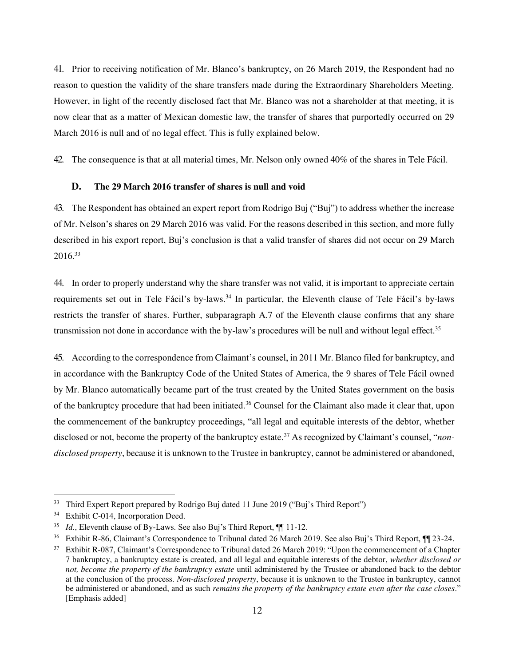41. Prior to receiving notification of Mr. Blanco's bankruptcy, on 26 March 2019, the Respondent had no reason to question the validity of the share transfers made during the Extraordinary Shareholders Meeting. However, in light of the recently disclosed fact that Mr. Blanco was not a shareholder at that meeting, it is now clear that as a matter of Mexican domestic law, the transfer of shares that purportedly occurred on 29 March 2016 is null and of no legal effect. This is fully explained below.

42. The consequence is that at all material times, Mr. Nelson only owned 40% of the shares in Tele Fácil.

## <span id="page-11-0"></span>**D. The 29 March 2016 transfer of shares is null and void**

43. The Respondent has obtained an expert report from Rodrigo Buj ("Buj") to address whether the increase of Mr. Nelson's shares on 29 March 2016 was valid. For the reasons described in this section, and more fully described in his export report, Buj's conclusion is that a valid transfer of shares did not occur on 29 March  $2016.<sup>33</sup>$ 

44. In order to properly understand why the share transfer was not valid, it is important to appreciate certain requirements set out in Tele Fácil's by-laws.<sup>34</sup> In particular, the Eleventh clause of Tele Fácil's by-laws restricts the transfer of shares. Further, subparagraph A.7 of the Eleventh clause confirms that any share transmission not done in accordance with the by-law's procedures will be null and without legal effect.<sup>35</sup>

45. According to the correspondence from Claimant's counsel, in 2011 Mr. Blanco filed for bankruptcy, and in accordance with the Bankruptcy Code of the United States of America, the 9 shares of Tele Fácil owned by Mr. Blanco automatically became part of the trust created by the United States government on the basis of the bankruptcy procedure that had been initiated.<sup>36</sup> Counsel for the Claimant also made it clear that, upon the commencement of the bankruptcy proceedings, "all legal and equitable interests of the debtor, whether disclosed or not, become the property of the bankruptcy estate.<sup>37</sup> As recognized by Claimant's counsel, "*nondisclosed property*, because it is unknown to the Trustee in bankruptcy, cannot be administered or abandoned,

<sup>&</sup>lt;sup>33</sup> Third Expert Report prepared by Rodrigo Buj dated 11 June 2019 ("Buj's Third Report")

<sup>&</sup>lt;sup>34</sup> Exhibit C-014, Incorporation Deed.

<sup>&</sup>lt;sup>35</sup> *Id.*, Eleventh clause of By-Laws. See also Buj's Third Report,  $\P$ [11-12.

<sup>36</sup> Exhibit R-86, Claimant's Correspondence to Tribunal dated 26 March 2019. See also Buj's Third Report, ¶¶ 23-24.

<sup>&</sup>lt;sup>37</sup> Exhibit R-087, Claimant's Correspondence to Tribunal dated 26 March 2019: "Upon the commencement of a Chapter 7 bankruptcy, a bankruptcy estate is created, and all legal and equitable interests of the debtor, *whether disclosed or not, become the property of the bankruptcy estate* until administered by the Trustee or abandoned back to the debtor at the conclusion of the process. *Non-disclosed property*, because it is unknown to the Trustee in bankruptcy, cannot be administered or abandoned, and as such *remains the property of the bankruptcy estate even after the case closes*." [Emphasis added]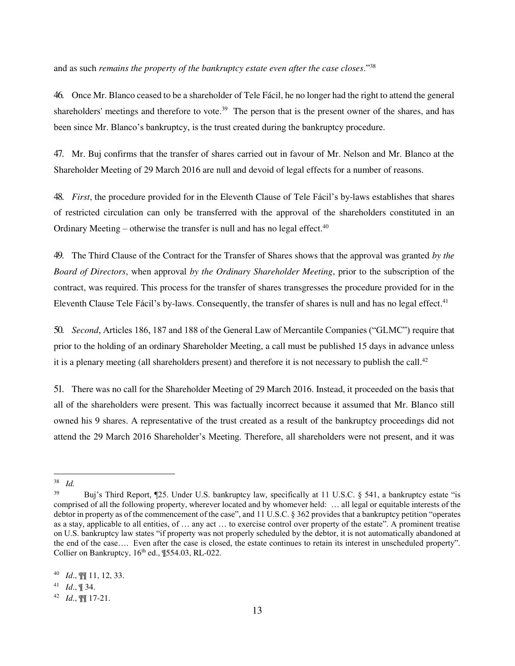and as such *remains the property of the bankruptcy estate even after the case closes*."<sup>38</sup>

46. Once Mr. Blanco ceased to be a shareholder of Tele Fácil, he no longer had the right to attend the general shareholders' meetings and therefore to vote.<sup>39</sup> The person that is the present owner of the shares, and has been since Mr. Blanco's bankruptcy, is the trust created during the bankruptcy procedure.

47. Mr. Buj confirms that the transfer of shares carried out in favour of Mr. Nelson and Mr. Blanco at the Shareholder Meeting of 29 March 2016 are null and devoid of legal effects for a number of reasons.

48. *First*, the procedure provided for in the Eleventh Clause of Tele Fácil's by-laws establishes that shares of restricted circulation can only be transferred with the approval of the shareholders constituted in an Ordinary Meeting – otherwise the transfer is null and has no legal effect.<sup>40</sup>

49. The Third Clause of the Contract for the Transfer of Shares shows that the approval was granted *by the Board of Directors*, when approval *by the Ordinary Shareholder Meeting*, prior to the subscription of the contract, was required. This process for the transfer of shares transgresses the procedure provided for in the Eleventh Clause Tele Fácil's by-laws. Consequently, the transfer of shares is null and has no legal effect. $41$ 

50. *Second*, Articles 186, 187 and 188 of the General Law of Mercantile Companies ("GLMC") require that prior to the holding of an ordinary Shareholder Meeting, a call must be published 15 days in advance unless it is a plenary meeting (all shareholders present) and therefore it is not necessary to publish the call.<sup>42</sup>

51. There was no call for the Shareholder Meeting of 29 March 2016. Instead, it proceeded on the basis that all of the shareholders were present. This was factually incorrect because it assumed that Mr. Blanco still owned his 9 shares. A representative of the trust created as a result of the bankruptcy proceedings did not attend the 29 March 2016 Shareholder's Meeting. Therefore, all shareholders were not present, and it was

 38 *Id.*

<sup>39</sup> Buj's Third Report, ¶25. Under U.S. bankruptcy law, specifically at 11 U.S.C. § 541, a bankruptcy estate "is comprised of all the following property, wherever located and by whomever held: … all legal or equitable interests of the debtor in property as of the commencement of the case", and 11 U.S.C. § 362 provides that a bankruptcy petition "operates as a stay, applicable to all entities, of … any act … to exercise control over property of the estate". A prominent treatise on U.S. bankruptcy law states "if property was not properly scheduled by the debtor, it is not automatically abandoned at the end of the case…. Even after the case is closed, the estate continues to retain its interest in unscheduled property". Collier on Bankruptcy,  $16<sup>th</sup>$  ed.,  $\P$ 554.03, RL-022.

<sup>40</sup> *Id*., ¶¶ 11, 12, 33.

<sup>41</sup> *Id*., ¶ 34.

<sup>42</sup> *Id*., ¶¶ 17-21.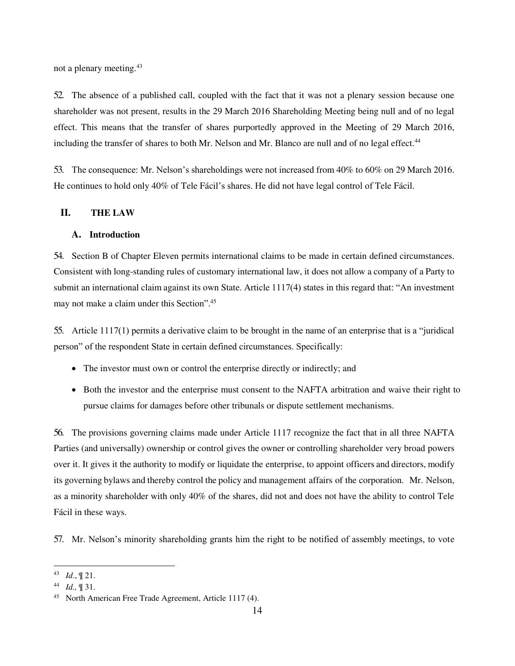not a plenary meeting.<sup>43</sup>

52. The absence of a published call, coupled with the fact that it was not a plenary session because one shareholder was not present, results in the 29 March 2016 Shareholding Meeting being null and of no legal effect. This means that the transfer of shares purportedly approved in the Meeting of 29 March 2016, including the transfer of shares to both Mr. Nelson and Mr. Blanco are null and of no legal effect.<sup>44</sup>

53. The consequence: Mr. Nelson's shareholdings were not increased from 40% to 60% on 29 March 2016. He continues to hold only 40% of Tele Fácil's shares. He did not have legal control of Tele Fácil.

### <span id="page-13-0"></span>**II. THE LAW**

#### <span id="page-13-1"></span>**A. Introduction**

54. Section B of Chapter Eleven permits international claims to be made in certain defined circumstances. Consistent with long-standing rules of customary international law, it does not allow a company of a Party to submit an international claim against its own State. Article 1117(4) states in this regard that: "An investment may not make a claim under this Section".<sup>45</sup>

55. Article 1117(1) permits a derivative claim to be brought in the name of an enterprise that is a "juridical person" of the respondent State in certain defined circumstances. Specifically:

- The investor must own or control the enterprise directly or indirectly; and
- Both the investor and the enterprise must consent to the NAFTA arbitration and waive their right to pursue claims for damages before other tribunals or dispute settlement mechanisms.

56. The provisions governing claims made under Article 1117 recognize the fact that in all three NAFTA Parties (and universally) ownership or control gives the owner or controlling shareholder very broad powers over it. It gives it the authority to modify or liquidate the enterprise, to appoint officers and directors, modify its governing bylaws and thereby control the policy and management affairs of the corporation. Mr. Nelson, as a minority shareholder with only 40% of the shares, did not and does not have the ability to control Tele Fácil in these ways.

57. Mr. Nelson's minority shareholding grants him the right to be notified of assembly meetings, to vote

 43 *Id*., ¶ 21.

<sup>44</sup> *Id.,* ¶ 31.

<sup>45</sup> North American Free Trade Agreement, Article 1117 (4).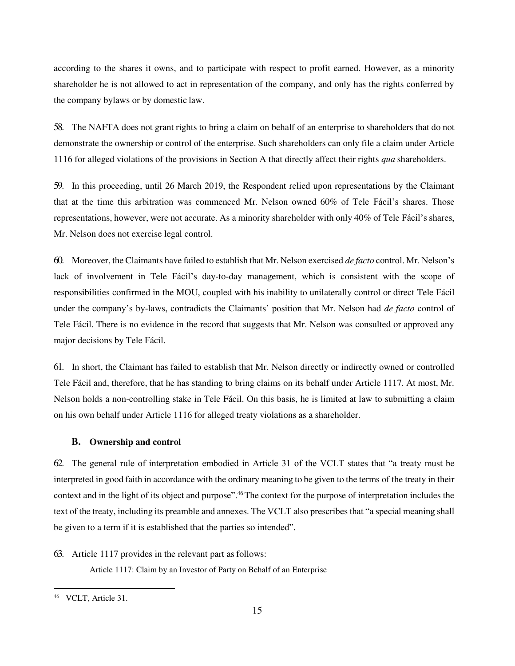according to the shares it owns, and to participate with respect to profit earned. However, as a minority shareholder he is not allowed to act in representation of the company, and only has the rights conferred by the company bylaws or by domestic law.

58. The NAFTA does not grant rights to bring a claim on behalf of an enterprise to shareholders that do not demonstrate the ownership or control of the enterprise. Such shareholders can only file a claim under Article 1116 for alleged violations of the provisions in Section A that directly affect their rights *qua* shareholders.

59. In this proceeding, until 26 March 2019, the Respondent relied upon representations by the Claimant that at the time this arbitration was commenced Mr. Nelson owned 60% of Tele Fácil's shares. Those representations, however, were not accurate. As a minority shareholder with only 40% of Tele Fácil's shares, Mr. Nelson does not exercise legal control.

60. Moreover, the Claimants have failed to establish that Mr. Nelson exercised *de facto* control. Mr. Nelson's lack of involvement in Tele Fácil's day-to-day management, which is consistent with the scope of responsibilities confirmed in the MOU, coupled with his inability to unilaterally control or direct Tele Fácil under the company's by-laws, contradicts the Claimants' position that Mr. Nelson had *de facto* control of Tele Fácil. There is no evidence in the record that suggests that Mr. Nelson was consulted or approved any major decisions by Tele Fácil.

61. In short, the Claimant has failed to establish that Mr. Nelson directly or indirectly owned or controlled Tele Fácil and, therefore, that he has standing to bring claims on its behalf under Article 1117. At most, Mr. Nelson holds a non-controlling stake in Tele Fácil. On this basis, he is limited at law to submitting a claim on his own behalf under Article 1116 for alleged treaty violations as a shareholder.

#### <span id="page-14-0"></span>**B. Ownership and control**

62. The general rule of interpretation embodied in Article 31 of the VCLT states that "a treaty must be interpreted in good faith in accordance with the ordinary meaning to be given to the terms of the treaty in their context and in the light of its object and purpose".<sup>46</sup>The context for the purpose of interpretation includes the text of the treaty, including its preamble and annexes. The VCLT also prescribes that "a special meaning shall be given to a term if it is established that the parties so intended".

63. Article 1117 provides in the relevant part as follows:

Article 1117: Claim by an Investor of Party on Behalf of an Enterprise

<sup>46</sup> VCLT, Article 31.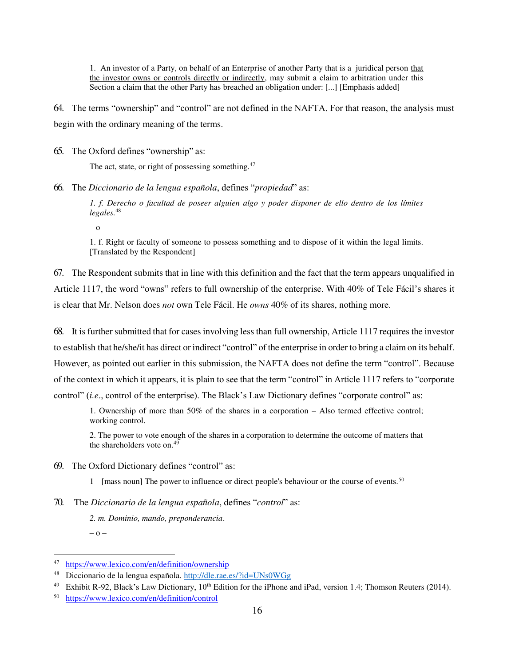1. An investor of a Party, on behalf of an Enterprise of another Party that is a juridical person that the investor owns or controls directly or indirectly, may submit a claim to arbitration under this Section a claim that the other Party has breached an obligation under: [...] [Emphasis added]

64. The terms "ownership" and "control" are not defined in the NAFTA. For that reason, the analysis must begin with the ordinary meaning of the terms.

65. The Oxford defines "ownership" as:

The act, state, or right of possessing something.<sup>47</sup>

66. The *Diccionario de la lengua española*, defines "*propiedad*" as:

*1. f. Derecho o facultad de poseer alguien algo y poder disponer de ello dentro de los límites legales.*<sup>48</sup>

– o –

1. f. Right or faculty of someone to possess something and to dispose of it within the legal limits. [Translated by the Respondent]

67. The Respondent submits that in line with this definition and the fact that the term appears unqualified in Article 1117, the word "owns" refers to full ownership of the enterprise. With 40% of Tele Fácil's shares it is clear that Mr. Nelson does *not* own Tele Fácil. He *owns* 40% of its shares, nothing more.

68. It is further submitted that for cases involving less than full ownership, Article 1117 requires the investor to establish that he/she/it has direct or indirect "control" of the enterprise in order to bring a claim on its behalf. However, as pointed out earlier in this submission, the NAFTA does not define the term "control". Because of the context in which it appears, it is plain to see that the term "control" in Article 1117 refers to "corporate control" (*i.e*., control of the enterprise). The Black's Law Dictionary defines "corporate control" as:

1. Ownership of more than 50% of the shares in a corporation – Also termed effective control; working control.

2. The power to vote enough of the shares in a corporation to determine the outcome of matters that the shareholders vote on.<sup>49</sup>

- 69. The Oxford Dictionary defines "control" as:
	- 1 [mass noun] The power to influence or direct people's behaviour or the course of events.<sup>50</sup>

70. The *Diccionario de la lengua española*, defines "*control*" as:

*2. m. Dominio, mando, preponderancia*. – o –

 47 <https://www.lexico.com/en/definition/ownership>

<sup>48</sup> Diccionario de la lengua española.<http://dle.rae.es/?id=UNs0WGg>

<sup>&</sup>lt;sup>49</sup> Exhibit R-92, Black's Law Dictionary, 10<sup>th</sup> Edition for the iPhone and iPad, version 1.4; Thomson Reuters (2014).

<sup>50</sup> <https://www.lexico.com/en/definition/control>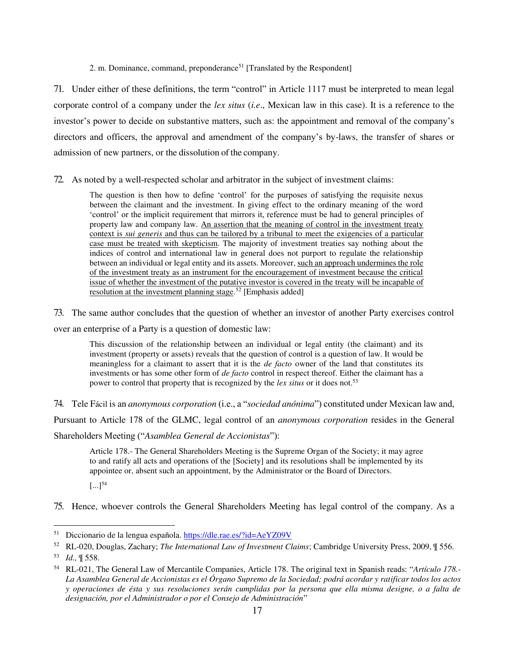2. m. Dominance, command, preponderance<sup>51</sup> [Translated by the Respondent]

71. Under either of these definitions, the term "control" in Article 1117 must be interpreted to mean legal corporate control of a company under the *lex situs* (*i.e*., Mexican law in this case). It is a reference to the investor's power to decide on substantive matters, such as: the appointment and removal of the company's directors and officers, the approval and amendment of the company's by-laws, the transfer of shares or admission of new partners, or the dissolution of the company.

72. As noted by a well-respected scholar and arbitrator in the subject of investment claims:

The question is then how to define 'control' for the purposes of satisfying the requisite nexus between the claimant and the investment. In giving effect to the ordinary meaning of the word 'control' or the implicit requirement that mirrors it, reference must be had to general principles of property law and company law. An assertion that the meaning of control in the investment treaty context is *sui generis* and thus can be tailored by a tribunal to meet the exigencies of a particular case must be treated with skepticism. The majority of investment treaties say nothing about the indices of control and international law in general does not purport to regulate the relationship between an individual or legal entity and its assets. Moreover, such an approach undermines the role of the investment treaty as an instrument for the encouragement of investment because the critical issue of whether the investment of the putative investor is covered in the treaty will be incapable of resolution at the investment planning stage.<sup>52</sup> [Emphasis added]

73. The same author concludes that the question of whether an investor of another Party exercises control over an enterprise of a Party is a question of domestic law:

This discussion of the relationship between an individual or legal entity (the claimant) and its investment (property or assets) reveals that the question of control is a question of law. It would be meaningless for a claimant to assert that it is the *de facto* owner of the land that constitutes its investments or has some other form of *de facto* control in respect thereof. Either the claimant has a power to control that property that is recognized by the *lex situs* or it does not.<sup>53</sup>

74. Tele Fácil is an *anonymous corporation* (i.e., a "*sociedad anónima*") constituted under Mexican law and,

Pursuant to Article 178 of the GLMC, legal control of an *anonymous corporation* resides in the General

Shareholders Meeting ("*Asamblea General de Accionistas*"):

Article 178.- The General Shareholders Meeting is the Supreme Organ of the Society; it may agree to and ratify all acts and operations of the [Society] and its resolutions shall be implemented by its appointee or, absent such an appointment, by the Administrator or the Board of Directors.

 $[...]^{54}$ 

75. Hence, whoever controls the General Shareholders Meeting has legal control of the company. As a

<sup>&</sup>lt;sup>51</sup> Diccionario de la lengua española.<https://dle.rae.es/?id=AeYZ09V>

<sup>52</sup> RL-020, Douglas, Zachary; *The International Law of Investment Claims*; Cambridge University Press, 2009, ¶ 556.

<sup>53</sup> *Id.,* ¶ 558.

<sup>54</sup> RL-021, The General Law of Mercantile Companies, Article 178. The original text in Spanish reads: "*Artículo 178.- La Asamblea General de Accionistas es el Órgano Supremo de la Sociedad; podrá acordar y ratificar todos los actos y operaciones de ésta y sus resoluciones serán cumplidas por la persona que ella misma designe, o a falta de designación, por el Administrador o por el Consejo de Administración*"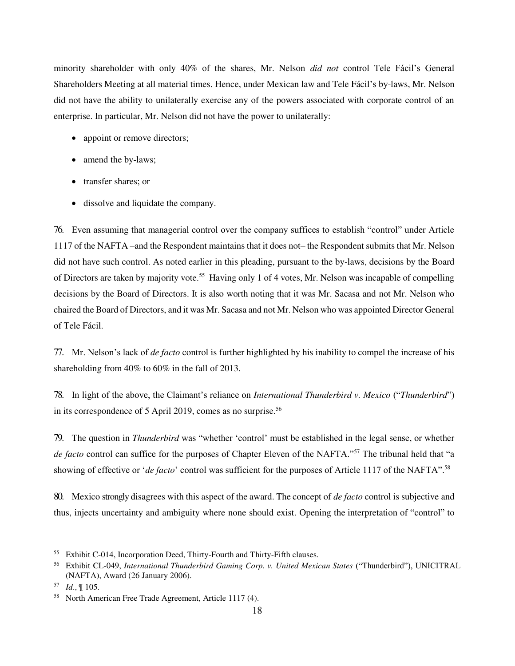minority shareholder with only 40% of the shares, Mr. Nelson *did not* control Tele Fácil's General Shareholders Meeting at all material times. Hence, under Mexican law and Tele Fácil's by-laws, Mr. Nelson did not have the ability to unilaterally exercise any of the powers associated with corporate control of an enterprise. In particular, Mr. Nelson did not have the power to unilaterally:

- appoint or remove directors;
- amend the by-laws;
- transfer shares; or
- dissolve and liquidate the company.

76. Even assuming that managerial control over the company suffices to establish "control" under Article 1117 of the NAFTA –and the Respondent maintains that it does not– the Respondent submits that Mr. Nelson did not have such control. As noted earlier in this pleading, pursuant to the by-laws, decisions by the Board of Directors are taken by majority vote.<sup>55</sup> Having only 1 of 4 votes, Mr. Nelson was incapable of compelling decisions by the Board of Directors. It is also worth noting that it was Mr. Sacasa and not Mr. Nelson who chaired the Board of Directors, and it was Mr. Sacasa and not Mr. Nelson who was appointed Director General of Tele Fácil.

77. Mr. Nelson's lack of *de facto* control is further highlighted by his inability to compel the increase of his shareholding from 40% to 60% in the fall of 2013.

78. In light of the above, the Claimant's reliance on *International Thunderbird v. Mexico* ("*Thunderbird*") in its correspondence of 5 April 2019, comes as no surprise.<sup>56</sup>

79. The question in *Thunderbird* was "whether 'control' must be established in the legal sense, or whether *de facto* control can suffice for the purposes of Chapter Eleven of the NAFTA."<sup>57</sup> The tribunal held that "a showing of effective or '*de facto*' control was sufficient for the purposes of Article 1117 of the NAFTA".<sup>58</sup>

80. Mexico strongly disagrees with this aspect of the award. The concept of *de facto* control is subjective and thus, injects uncertainty and ambiguity where none should exist. Opening the interpretation of "control" to

<sup>55</sup> Exhibit C-014, Incorporation Deed, Thirty-Fourth and Thirty-Fifth clauses.

<sup>56</sup> Exhibit CL-049, *International Thunderbird Gaming Corp. v. United Mexican States* ("Thunderbird"), UNICITRAL (NAFTA), Award (26 January 2006).

<sup>57</sup> *Id*., ¶ 105.

<sup>58</sup> North American Free Trade Agreement, Article 1117 (4).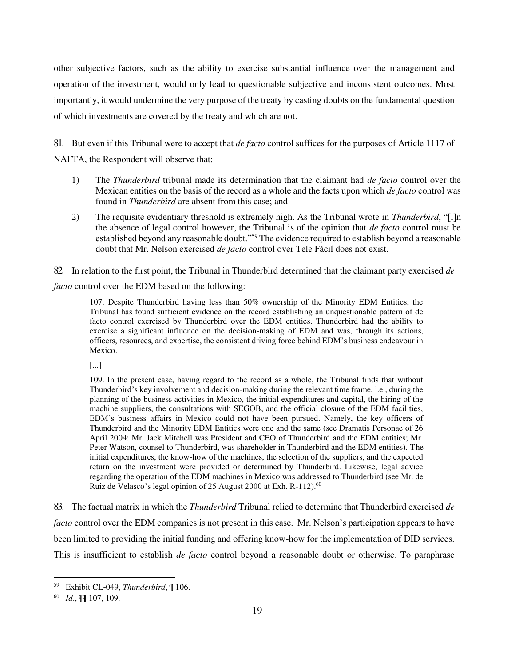other subjective factors, such as the ability to exercise substantial influence over the management and operation of the investment, would only lead to questionable subjective and inconsistent outcomes. Most importantly, it would undermine the very purpose of the treaty by casting doubts on the fundamental question of which investments are covered by the treaty and which are not.

81. But even if this Tribunal were to accept that *de facto* control suffices for the purposes of Article 1117 of NAFTA, the Respondent will observe that:

- 1) The *Thunderbird* tribunal made its determination that the claimant had *de facto* control over the Mexican entities on the basis of the record as a whole and the facts upon which *de facto* control was found in *Thunderbird* are absent from this case; and
- 2) The requisite evidentiary threshold is extremely high. As the Tribunal wrote in *Thunderbird*, "[i]n the absence of legal control however, the Tribunal is of the opinion that *de facto* control must be established beyond any reasonable doubt."<sup>59</sup> The evidence required to establish beyond a reasonable doubt that Mr. Nelson exercised *de facto* control over Tele Fácil does not exist.

82. In relation to the first point, the Tribunal in Thunderbird determined that the claimant party exercised *de* 

*facto* control over the EDM based on the following:

107. Despite Thunderbird having less than 50% ownership of the Minority EDM Entities, the Tribunal has found sufficient evidence on the record establishing an unquestionable pattern of de facto control exercised by Thunderbird over the EDM entities. Thunderbird had the ability to exercise a significant influence on the decision-making of EDM and was, through its actions, officers, resources, and expertise, the consistent driving force behind EDM's business endeavour in Mexico.

[...]

109. In the present case, having regard to the record as a whole, the Tribunal finds that without Thunderbird's key involvement and decision-making during the relevant time frame, i.e., during the planning of the business activities in Mexico, the initial expenditures and capital, the hiring of the machine suppliers, the consultations with SEGOB, and the official closure of the EDM facilities, EDM's business affairs in Mexico could not have been pursued. Namely, the key officers of Thunderbird and the Minority EDM Entities were one and the same (see Dramatis Personae of 26 April 2004: Mr. Jack Mitchell was President and CEO of Thunderbird and the EDM entities; Mr. Peter Watson, counsel to Thunderbird, was shareholder in Thunderbird and the EDM entities). The initial expenditures, the know-how of the machines, the selection of the suppliers, and the expected return on the investment were provided or determined by Thunderbird. Likewise, legal advice regarding the operation of the EDM machines in Mexico was addressed to Thunderbird (see Mr. de Ruiz de Velasco's legal opinion of 25 August 2000 at Exh. R-112).<sup>60</sup>

83. The factual matrix in which the *Thunderbird* Tribunal relied to determine that Thunderbird exercised *de facto* control over the EDM companies is not present in this case. Mr. Nelson's participation appears to have been limited to providing the initial funding and offering know-how for the implementation of DID services. This is insufficient to establish *de facto* control beyond a reasonable doubt or otherwise. To paraphrase

 $\overline{a}$ <sup>59</sup> Exhibit CL-049, *Thunderbird*, ¶ 106.

<sup>60</sup> *Id*., ¶¶ 107, 109.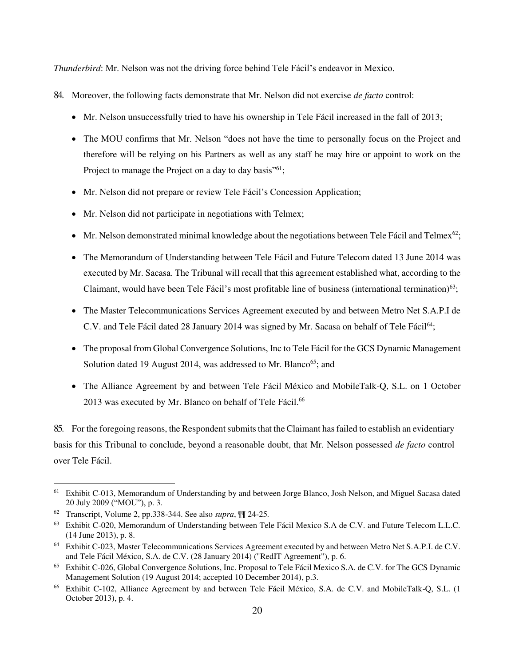*Thunderbird*: Mr. Nelson was not the driving force behind Tele Fácil's endeavor in Mexico.

- 84. Moreover, the following facts demonstrate that Mr. Nelson did not exercise *de facto* control:
	- Mr. Nelson unsuccessfully tried to have his ownership in Tele Fácil increased in the fall of 2013;
	- The MOU confirms that Mr. Nelson "does not have the time to personally focus on the Project and therefore will be relying on his Partners as well as any staff he may hire or appoint to work on the Project to manage the Project on a day to day basis<sup>"61</sup>;
	- Mr. Nelson did not prepare or review Tele Fácil's Concession Application;
	- Mr. Nelson did not participate in negotiations with Telmex;
	- $\bullet$  Mr. Nelson demonstrated minimal knowledge about the negotiations between Tele Fácil and Telmex<sup>62</sup>;
	- The Memorandum of Understanding between Tele Fácil and Future Telecom dated 13 June 2014 was executed by Mr. Sacasa. The Tribunal will recall that this agreement established what, according to the Claimant, would have been Tele Fácil's most profitable line of business (international termination) $63$ ;
	- The Master Telecommunications Services Agreement executed by and between Metro Net S.A.P.I de C.V. and Tele Fácil dated 28 January 2014 was signed by Mr. Sacasa on behalf of Tele Fácil<sup>64</sup>;
	- The proposal from Global Convergence Solutions, Inc to Tele Fácil for the GCS Dynamic Management Solution dated 19 August 2014, was addressed to Mr. Blanco<sup>65</sup>; and
	- The Alliance Agreement by and between Tele Fácil México and MobileTalk-Q, S.L. on 1 October 2013 was executed by Mr. Blanco on behalf of Tele Fácil.<sup>66</sup>

85. For the foregoing reasons, the Respondent submits that the Claimant has failed to establish an evidentiary basis for this Tribunal to conclude, beyond a reasonable doubt, that Mr. Nelson possessed *de facto* control over Tele Fácil.

<sup>&</sup>lt;sup>61</sup> Exhibit C-013, Memorandum of Understanding by and between Jorge Blanco, Josh Nelson, and Miguel Sacasa dated 20 July 2009 ("MOU"), p. 3.

<sup>62</sup> Transcript, Volume 2, pp.338-344. See also *supra*, ¶¶ 24-25*.*

<sup>63</sup> Exhibit C-020, Memorandum of Understanding between Tele Fácil Mexico S.A de C.V. and Future Telecom L.L.C. (14 June 2013), p. 8.

<sup>64</sup> Exhibit C-023, Master Telecommunications Services Agreement executed by and between Metro Net S.A.P.I. de C.V. and Tele Fácil México, S.A. de C.V. (28 January 2014) ("RedIT Agreement"), p. 6.

<sup>65</sup> Exhibit C-026, Global Convergence Solutions, Inc. Proposal to Tele Fácil Mexico S.A. de C.V. for The GCS Dynamic Management Solution (19 August 2014; accepted 10 December 2014), p.3.

<sup>66</sup> Exhibit C-102, Alliance Agreement by and between Tele Fácil México, S.A. de C.V. and MobileTalk-Q, S.L. (1 October 2013), p. 4.